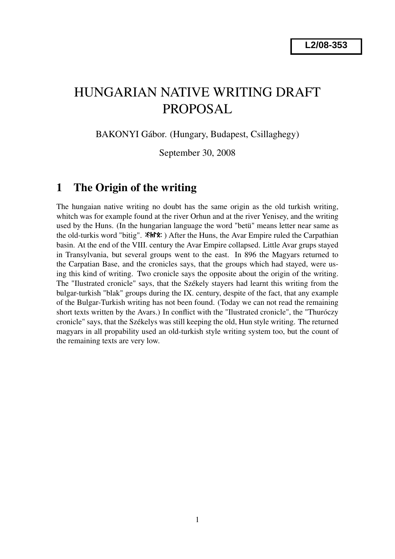# HUNGARIAN NATIVE WRITING DRAFT PROPOSAL

BAKONYI Gábor. (Hungary, Budapest, Csillaghegy)

September 30, 2008

#### 1 The Origin of the writing

The hungaian native writing no doubt has the same origin as the old turkish writing, whitch was for example found at the river Orhun and at the river Yenisey, and the writing used by the Huns. (In the hungarian language the word "betü" means letter near same as the old-turkis word "bitig".  $\mathcal{R}$   $\mathcal{R}$ :  $\mathcal{R}$  After the Huns, the Avar Empire ruled the Carpathian basin. At the end of the VIII. century the Avar Empire collapsed. Little Avar grups stayed in Transylvania, but several groups went to the east. In 896 the Magyars returned to the Carpatian Base, and the cronicles says, that the groups which had stayed, were using this kind of writing. Two cronicle says the opposite about the origin of the writing. The "Ilustrated cronicle" says, that the Székely stayers had learnt this writing from the bulgar-turkish "blak" groups during the IX. century, despite of the fact, that any example of the Bulgar-Turkish writing has not been found. (Today we can not read the remaining short texts written by the Avars.) In conflict with the "Ilustrated cronicle", the "Thuróczy cronicle" says, that the Székelys was still keeping the old, Hun style writing. The returned magyars in all propability used an old-turkish style writing system too, but the count of the remaining texts are very low.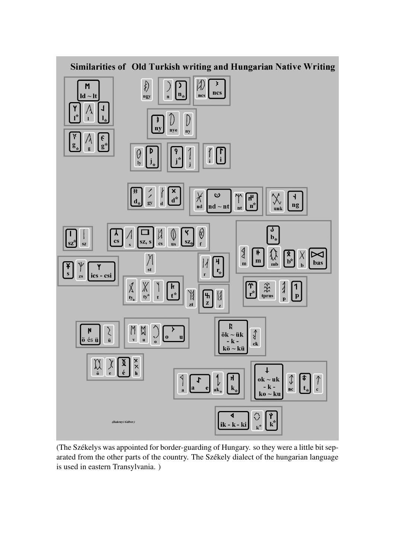

(The Székelys was appointed for border-guarding of Hungary. so they were a little bit separated from the other parts of the country. The Székely dialect of the hungarian language is used in eastern Transylvania. )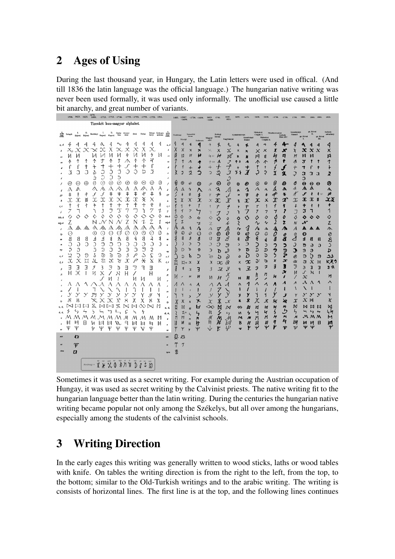## 2 Ages of Using

During the last thousand year, in Hungary, the Latin letters were used in offical. (And till 1836 the latin language was the official language.) The hungarian native writing was never been used formally, it was used only informally. The unofficial use caused a little bit anarchy, and great number of variants.

|                  |               | 1598, 1623, 1623, |                |                  | 1680. $\leq 1713$ . $\leq 1713$ . $\leq 1746$ . $\leq 1753$ . $\leq 1753$ . $\leq 1753$ . $\leq 1753$ . 1501. |               |                    |                |               |                   |                  |                                     |                           | 1483.        | 13002<br>< 1690        |                                           | $-1730. < 1600.$ | 1613<br>< 1680        | 1743                                                                                                                                                                                                                                                                                                                                                                                                                                                                                                                                                                                                                                                                         | 1819<br>1821             |                    |                             |                                   |                                        |                        |                            |                                 |                |                                           | 1929   |
|------------------|---------------|-------------------|----------------|------------------|---------------------------------------------------------------------------------------------------------------|---------------|--------------------|----------------|---------------|-------------------|------------------|-------------------------------------|---------------------------|--------------|------------------------|-------------------------------------------|------------------|-----------------------|------------------------------------------------------------------------------------------------------------------------------------------------------------------------------------------------------------------------------------------------------------------------------------------------------------------------------------------------------------------------------------------------------------------------------------------------------------------------------------------------------------------------------------------------------------------------------------------------------------------------------------------------------------------------------|--------------------------|--------------------|-----------------------------|-----------------------------------|----------------------------------------|------------------------|----------------------------|---------------------------------|----------------|-------------------------------------------|--------|
|                  |               |                   |                |                  | Tizenkét hun-magyar alphabet.                                                                                 |               |                    |                |               |                   |                  |                                     |                           |              |                        |                                           |                  |                       |                                                                                                                                                                                                                                                                                                                                                                                                                                                                                                                                                                                                                                                                              |                          |                    |                             |                                   |                                        |                        |                            |                                 |                |                                           |        |
|                  |               |                   | II.<br>Kajoni  |                  |                                                                                                               |               | IL Oerle- Anony-   |                | Dési          | Dobai             |                  | Udvar- Csik-szt-<br>helyi — miklósi | $\lim_{\delta\to 0}$      |              |                        |                                           |                  |                       | Rettegi                                                                                                                                                                                                                                                                                                                                                                                                                                                                                                                                                                                                                                                                      |                          |                    |                             | Miskolezi                         |                                        | Mezőkeresztesi         |                            | <b>Szentkirály</b>              |                | gr. Réva<br>П.                            | Székel |
|                  | bethk Telegdi | Kájoni            |                |                  | Harrányi Kaposi Kaposi                                                                                        |               |                    |                |               |                   |                  |                                     |                           |              | Marsisi                | Istvan                                    |                  | Magyar<br><b>ABC</b>  | István                                                                                                                                                                                                                                                                                                                                                                                                                                                                                                                                                                                                                                                                       | Nagybánys                | Gyulafché          | Szentivány<br><b>Dániel</b> | Csuják I.                         | Miskolcz<br>Csuják II.                 |                        | Székely<br>Hun ABC         |                                 |                | gr. Réva<br>m.                            |        |
|                  | 4             | 4                 | 4              | 4                | a                                                                                                             | 4             | $\sim$             | 4              | 4             | 4                 | 4                |                                     | a, d                      |              |                        |                                           | q                | 4                     | q,                                                                                                                                                                                                                                                                                                                                                                                                                                                                                                                                                                                                                                                                           |                          |                    |                             |                                   | 4                                      |                        |                            | 4                               | ۹              | 4                                         | 4      |
|                  |               | Х                 |                | $\propto$        | X                                                                                                             | Х<br>И        | ҉Х<br>И            | X<br>h         | X<br>И        | Х<br>И            | X<br>ヶ           | И                                   | $\pmb{b}$                 | Χ<br>И       | Χ                      | $\boldsymbol{\mathsf{x}}$<br>H            | ×<br>H           | ✕                     | $\boldsymbol{\mathsf{X}}$                                                                                                                                                                                                                                                                                                                                                                                                                                                                                                                                                                                                                                                    | X,                       | X                  | ×                           | ×                                 | ×                                      | x                      | x                          | X                               | x              | $\mathbf x$<br>$\mathbf{x}$               | x      |
| cs               | И<br>⋀        | И                 |                | И<br>↑           | T                                                                                                             | ↑             | T                  | ∧              | ↑             | 个                 | 4                |                                     | $\alpha$<br>$\epsilon$    | 1            | И<br>1                 | $\Lambda$                                 |                  | 40                    | Ħ<br>л                                                                                                                                                                                                                                                                                                                                                                                                                                                                                                                                                                                                                                                                       | И<br>$\mathcal{I}$       | h<br>ጥ ቀ           | H<br>Λ                      | Ħ<br>∧                            | Я                                      | k<br>1                 | n<br>f                     | $\boldsymbol{\varepsilon}$<br>Л | и<br>:۳        | и<br>t<br>1                               | я<br>↑ |
|                  | f             | f                 | t              | t                | ᅮ                                                                                                             | ╅             | ┽                  | J              | ┿             | ┿                 | f                |                                     | d                         |              | ł                      | $+$                                       |                  | $\uparrow$ (cs)<br>┿  | ナ                                                                                                                                                                                                                                                                                                                                                                                                                                                                                                                                                                                                                                                                            | ナ                        | $\ddot{}$          | +                           | T                                 | Λ<br>t                                 |                        |                            | $^{\mathrm{+}}$                 | 7              | $\ddagger$                                |        |
|                  | J             | J                 | J              | S                | C                                                                                                             | Ĵ             | D                  | Ć              |               | IJ                | J                |                                     | $\epsilon$                |              | $\overline{y}$         | Q                                         | ٥                | C.                    | ₹                                                                                                                                                                                                                                                                                                                                                                                                                                                                                                                                                                                                                                                                            | J                        | そう                 | $\boldsymbol{\mathcal{J}}$  | ڔ                                 | Ş                                      | X                      | X                          | Į                               | э              | X<br>Э                                    | ⋧      |
|                  |               |                   |                | 5                | Э                                                                                                             | С             | З                  |                |               |                   |                  |                                     | é                         |              |                        |                                           |                  |                       |                                                                                                                                                                                                                                                                                                                                                                                                                                                                                                                                                                                                                                                                              | S                        |                    |                             |                                   |                                        |                        |                            |                                 | C              |                                           |        |
|                  | ⊛<br>Λ        | ⊕<br>∧            | $\oplus$       | 0<br>Λ           | $\circledcirc$<br>Л                                                                                           | ⊛<br>Л        | ⊛<br>∧∖            | ⊗<br>Λ         | ∞<br>А        | ⊗                 | $_{\oplus}$<br>А | Ø<br>Α                              |                           | 0            | $\oplus$<br>л          | $\hat{\bm{\omega}}$<br>$\mathbf{\hat{x}}$ | ⊕                | $\mathscr{D}$         | Θ<br>J                                                                                                                                                                                                                                                                                                                                                                                                                                                                                                                                                                                                                                                                       | $\vartheta$<br>Λ         | Θ                  | ⊕<br>へ                      | $_{\scriptscriptstyle\odot}$<br>Л | ⊙<br>$\lambda$                         | 0<br>Ѧ                 | ⊕<br>∧                     | Φ<br>Л                          | ø<br>л         | $\boldsymbol{\Theta}$<br>$\bigoplus$<br>Λ | ⊗<br>ᄾ |
| g<br>gy          | $^\mathrm{+}$ | ŧ                 | 丰              | $\boldsymbol{f}$ | ℐ                                                                                                             | $^\mathrm{+}$ | 丰                  | ŧ              | ŧ             | 术                 | $\ddagger$       | ≸                                   | $\pmb{\varepsilon}$<br>89 |              | ŧ                      | $\ast$                                    | ∧<br>$\ddagger$  | Л<br>$\mathcal{T}$    | 肀                                                                                                                                                                                                                                                                                                                                                                                                                                                                                                                                                                                                                                                                            | کمی                      | ٨<br>$\equiv$      | ŧ                           | 半                                 | $\pmb{\ast}$                           | #                      | 爷                          | ¥                               | ℐ              | ł<br>$*$                                  | ≠      |
| ħ                | x             | x                 | 爻              | $\infty$         | x                                                                                                             | x             | X                  | $\mathfrak{X}$ | $\mathfrak X$ | ҉                 | X                |                                     | h                         | ×            | ≬                      | X                                         | $\chi$           | $\chi$                | x                                                                                                                                                                                                                                                                                                                                                                                                                                                                                                                                                                                                                                                                            | $\overline{\mathscr{X}}$ | Ř                  | x                           | χ                                 | $\boldsymbol{\mathsf{x}}$              | $\mathfrak{I}$         | I                          | x                               | X              | X<br>菱                                    | χš     |
| i, i             | t             | ォ                 | ł              | t                | t                                                                                                             | Ť             | $^{\mathrm{+}}$    | Ť              | t             | ┿                 | t<br>7           | ł                                   | š, š                      |              | 1                      | $\ddagger$                                |                  | ŧ                     | $\tau$                                                                                                                                                                                                                                                                                                                                                                                                                                                                                                                                                                                                                                                                       | Ť                        | r                  | $\tau$                      | $\tau$                            | 1                                      | $\overline{t}$         | ł                          | $\ddot{+}$                      | +              | ł<br>ł                                    | +      |
| j<br>köz. k      | 7<br>◇        | ٦<br>◇            | ◇              | ♦                | J<br>♦                                                                                                        | J<br>♦        | 7<br>◇             | V              | ◇             | λ                 | ◇                | 1<br>♦                              | ÷F<br>$k\delta z$ - $k$   | ♦            | 1<br>♦                 | $\overline{z}$<br>s                       |                  | 7                     | J                                                                                                                                                                                                                                                                                                                                                                                                                                                                                                                                                                                                                                                                            | J                        | ٦                  | 7                           | 7                                 | 7<br>♦                                 | 7<br>s                 | 1<br>0                     | J                               | I<br>♦         | ٦<br>♦<br>$\circ$                         | 1<br>◇ |
| odg-k            | Ζ             |                   |                | N                |                                                                                                               | N             |                    | Ζ              | N             | Z                 | Ζ                |                                     | $v \notin k$              |              | Z                      |                                           | ◇<br>マ           | ♦<br>$\overline{z}$   | ♦                                                                                                                                                                                                                                                                                                                                                                                                                                                                                                                                                                                                                                                                            | ♦<br>N                   | ♦<br>₹             | ♦                           | ♦<br>$\sim$                       | $\mathbf{\hat{v}}$                     | 2                      | Z                          | ♦<br>N                          | N              |                                           | Ζ      |
| $\mathbf{I}$     | ᠕             |                   |                | <i>/</i> እ へ ≪   | ∧∖                                                                                                            | ∕∧            | ∧∖                 | ᠕              | ᠕             | ᠕                 | ᠕                | Λ                                   | $\mathbf{I}$              | Λ            | Λ                      | J                                         | ⅍                | $\wedge$              | 7                                                                                                                                                                                                                                                                                                                                                                                                                                                                                                                                                                                                                                                                            | л                        | $\sim$             | $\overline{\mathcal{A}}$    | ∕∗                                | ٨                                      | $\frac{\lambda}{\rho}$ | <i>៳</i>                   | A                               | ѧ              | ^ л                                       | 办      |
| lу               | ⊙             |                   |                | ⊙                | ⊙                                                                                                             | ⊙             | ⊙                  | ⊙              | O             | ⊙                 | ⊙                | Ø                                   | h                         | Ø<br>8       | 0<br>8                 | $\hat{\omega}$<br>Ĵ                       | O                | $\odot$               | $\odot$                                                                                                                                                                                                                                                                                                                                                                                                                                                                                                                                                                                                                                                                      | 0                        | $_{\odot}$         | $\mathcal{Q}$<br>đ          | $\circ$<br>€                      | $\odot$                                |                        | 0                          | 0<br>1                          | O              |                                           | 0      |
|                  | В<br>Э        | Я<br>G            | 8<br>Э         | Δ<br>Э           | A<br>ว                                                                                                        | ₹<br>C        | Δ<br>$\mathcal{D}$ | 8<br>Э         | 4<br>Э        | 8<br>Э            | 4<br>Э           | ş<br>Ĵ                              | $\pi$                     |              | $\mathcal{C}$          | C                                         | 8<br>∋           | $\Omega$<br>$\supset$ | ā<br>Э                                                                                                                                                                                                                                                                                                                                                                                                                                                                                                                                                                                                                                                                       | 3<br>$\mathcal{F}$       | 1<br>$\mathfrak I$ | Э                           |                                   | $\blacktriangleleft$<br>$\overline{ }$ | a<br>っ                 | a<br>っ                     | Э                               | А<br>G         | a<br>Я                                    | ৪<br>د |
| $_{\pi}$         | P             | Ĉ                 |                | I                | D                                                                                                             | C             | J                  | J              | $\mathbb{O}$  | J                 | Į                |                                     | ny                        | D            | D                      | ъ                                         | D                | J                     | $\mathbf b$                                                                                                                                                                                                                                                                                                                                                                                                                                                                                                                                                                                                                                                                  | ھ                        | $\mathbf{z}$       | D                           | D                                 | D                                      | っ                      | פ                          | Э                               | $\mathfrak{D}$ | G<br>э<br>$\mathfrak{D}$                  | D      |
| o, d             | ್ನು           | Ç                 | $\mathcal{O}$  | S                | ම                                                                                                             | ঌ             | ಾ                  | 5              | $\rho$        | $\mathcal{S}$     | Σ                | G                                   | o, d                      |              | C                      | p                                         | כ                | $\geqslant$           | $\mathbf{5}$                                                                                                                                                                                                                                                                                                                                                                                                                                                                                                                                                                                                                                                                 | ò,                       | ò                  | D                           | จ                                 | ১                                      | 5                      | 7                          | ම                               | G              | Ğ<br>9                                    | لاث    |
| ŏ, õ             | $\chi$        | X                 | ¤              | $\Lambda$        | Q,                                                                                                            | $\infty$      | ১                  | $\mathcal{X}$  | $\sqrt{2}$    | Ж                 | X                | Κ                                   | $\delta, \delta$          | a            | $\boxtimes^{\omega}$ x |                                           | X                | $\chi$                | $\infty$                                                                                                                                                                                                                                                                                                                                                                                                                                                                                                                                                                                                                                                                     | Q                        | $\pmb{\chi}$       | $\bm{\mathfrak{x}}$         | D:                                | Þ                                      | x                      | $\boldsymbol{\mathcal{X}}$ | X                               | $\alpha$       | $x \alpha$                                | ドメク    |
| ø                | Э             | Е                 | Э              | J<br>И           | 3                                                                                                             | Э             | Э                  | Е              | Э             | ٦                 | Ε                |                                     | ŕ                         | Ã            | ╡                      | $\overline{A}$                            | 3                | J                     | $\overline{\mathcal{X}}$                                                                                                                                                                                                                                                                                                                                                                                                                                                                                                                                                                                                                                                     | $\mathcal{J}$            | ٦                  | $\overline{z}$              | Э                                 | フ                                      | Э                      | Э<br>K                     | ヲ<br>И                          | 3<br>s         | Е<br>Э<br>$\lambda$<br>и                  | 3 A    |
| $\boldsymbol{R}$ | H             | Ж                 |                |                  | Х                                                                                                             | И             | Я<br>ş             | H              | И             | И                 | Н                | и                                   | $\boldsymbol{R}$          | И            |                        | н                                         | н                | N                     | H                                                                                                                                                                                                                                                                                                                                                                                                                                                                                                                                                                                                                                                                            | х                        | н                  | H                           | h                                 | n<br>∕                                 | H                      | 1                          | Γ                               | х              |                                           | п      |
|                  | Λ             |                   |                |                  |                                                                                                               |               |                    | Λ              | Λ             |                   | Λ                | Λ                                   | s.                        | $\sqrt{ }$   | $\wedge$               | $\Lambda$                                 | л                | $\triangle$           | Λ                                                                                                                                                                                                                                                                                                                                                                                                                                                                                                                                                                                                                                                                            | $\mathcal{A}$            | Λ                  | 1                           | л                                 | Л                                      | Λ                      | $\boldsymbol{\lambda}$     | Λ                               | лΛ             | $\Lambda$                                 | ∧      |
| 辉                |               |                   |                |                  |                                                                                                               |               |                    |                |               |                   |                  |                                     | sz                        |              |                        | п                                         |                  |                       |                                                                                                                                                                                                                                                                                                                                                                                                                                                                                                                                                                                                                                                                              |                          | H                  |                             |                                   |                                        |                        | ı                          | N                               | ╲              |                                           |        |
|                  | У<br>8        | Y                 | У              | JB               |                                                                                                               | Y             | У                  | у              | $\mathcal Y$  | Y                 | У                | Y                                   | $\epsilon$                |              |                        | $\overline{y}$                            |                  | У                     | У                                                                                                                                                                                                                                                                                                                                                                                                                                                                                                                                                                                                                                                                            | у                        | y                  | y<br>Х                      | ٦                                 | ٦                                      |                        | Ÿ                          | Y                               | У<br>$x\,$ 83  | $\mathcal{S}$<br>$\mathcal{S}$            | ٦      |
| $\iota$          |               | 8                 | ⊠              | 区                | ⊠                                                                                                             | ⊠             | χ<br>Z             | 8<br>⊠         | Χ<br>⊠        | Х                 | 8                | Х<br>M                              | ty                        | Ж<br>M       | Х<br>M                 | $\boldsymbol{\mathsf{x}}$                 | ⊁<br>ᆸ           | Х<br>$\infty$         | х<br>M                                                                                                                                                                                                                                                                                                                                                                                                                                                                                                                                                                                                                                                                       | $\mathcal{X}$            | $\ast$             |                             | х                                 | х                                      | ×<br>M                 | 冶<br>$\mu$                 | х<br>M                          |                | мии                                       | Х<br>⋈ |
|                  |               | Υ                 | $\overline{ }$ | 5                |                                                                                                               | ຯ             |                    | ç              |               | ų                 |                  |                                     | u, d<br>ú, ú,             |              | 石田                     |                                           | 5                | m                     | S                                                                                                                                                                                                                                                                                                                                                                                                                                                                                                                                                                                                                                                                            | $\bowtie$<br>$L_7$       | ∞<br>N             | M<br>ς                      | Ħ                                 | Ħ<br>ч                                 | 5                      | $\overline{b}$             | 4                               | ∽              | 44                                        | 4h     |
|                  |               | М                 | м              | м                | M                                                                                                             | M             | M                  | м              | М             | М                 | М                | M                                   | $\sigma$                  | $\mathsf{M}$ | M                      | $\boldsymbol{M}$                          | M                | M                     | M                                                                                                                                                                                                                                                                                                                                                                                                                                                                                                                                                                                                                                                                            | м                        | Μ                  | M                           | M                                 | M                                      | M                      | M                          | м                               |                | ммм                                       | M      |
|                  | И             | И                 | Н              | и                | ø                                                                                                             | Й             | B.                 | 曱              | И             | 闫                 | ᄇ                | И                                   | ×                         | 14           | Þ                      | $\boldsymbol{\mathsf{a}}$                 | h                | Þ                     | ${\not\negthinspace\negthinspace\negthinspace} {\not\negthinspace\negthinspace\negthinspace} {\not\negthinspace\negthinspace\negthinspace} {\not\negthinspace\negthinspace\negthinspace} {\not\negthinspace\negthinspace}\!{\not\negthinspace\negthinspace}\! {\not\negthinspace\negthinspace}\! {\not\negthinspace\negthinspace}\! {\not\negthinspace\negthinspace}\! {\not\negthinspace\negthinspace\negthinspace}\! {\not\negthinspace\negthinspace}\! {\not\negthinspace\negthinspace}\! {\not\negthinspace\negthinspace}\! {\not\negthinspace\negthinspace}\! {\not\negthinspace\negthinspace}\! {\not\negthinspace\negthinspace}\! {\not\negthinspace\negthinspace}\!$ | 図                        | B                  | Ħ<br>Y                      | 日<br>Ψ                            | Ħ<br>Ψ                                 | q                      | 勺<br>Ψ                     | 闫<br>$\psi$                     | Ħ<br>Ψ         | И<br>B<br>Ψ                               | Ę      |
| zs               | Ψ             | Ψ                 |                | Ψ                | Ψ                                                                                                             | Ψ             | Ψ                  | Ψ              | Ψ             | V                 | Ψ                |                                     | zs                        |              | Ψ                      |                                           | Ψ                | $\bigvee$             | Y                                                                                                                                                                                                                                                                                                                                                                                                                                                                                                                                                                                                                                                                            | Ψ                        | Ÿ                  |                             |                                   |                                        |                        |                            |                                 |                |                                           |        |
|                  |               | Ð                 |                |                  |                                                                                                               |               |                    |                |               |                   |                  |                                     |                           | 쟚            | ₩                      |                                           |                  |                       |                                                                                                                                                                                                                                                                                                                                                                                                                                                                                                                                                                                                                                                                              |                          |                    |                             |                                   |                                        |                        |                            |                                 |                |                                           |        |
|                  |               | Ψ                 |                |                  |                                                                                                               |               |                    |                |               |                   |                  |                                     |                           |              | 丁                      |                                           |                  |                       |                                                                                                                                                                                                                                                                                                                                                                                                                                                                                                                                                                                                                                                                              |                          |                    |                             |                                   |                                        |                        |                            |                                 |                |                                           |        |
|                  |               | $\boldsymbol{a}$  |                |                  |                                                                                                               |               |                    |                |               |                   |                  |                                     |                           | 葓            |                        |                                           |                  |                       |                                                                                                                                                                                                                                                                                                                                                                                                                                                                                                                                                                                                                                                                              |                          |                    |                             |                                   |                                        |                        |                            |                                 |                |                                           |        |
|                  |               |                   |                | Mcolsbutgi +     | $X \times X \oplus Y \times X$                                                                                |               |                    |                |               | $D$ $I$ $I$ $I$ ) |                  |                                     |                           |              |                        |                                           |                  |                       |                                                                                                                                                                                                                                                                                                                                                                                                                                                                                                                                                                                                                                                                              |                          |                    |                             |                                   |                                        |                        |                            |                                 |                |                                           |        |
|                  |               |                   |                |                  |                                                                                                               |               |                    |                |               |                   |                  |                                     |                           |              |                        |                                           |                  |                       |                                                                                                                                                                                                                                                                                                                                                                                                                                                                                                                                                                                                                                                                              |                          |                    |                             |                                   |                                        |                        |                            |                                 |                |                                           |        |

Sometimes it was used as a secret writing. For example during the Austrian occupation of Hungay, it was used as secret writing by the Calvinist priests. The native writing fit to the hungarian language better than the latin writing. During the centuries the hungarian native writing became popular not only among the Székelys, but all over among the hungarians, especially among the students of the calvinist schools.

## 3 Writing Direction

In the early eages this writing was generally written to wood sticks, laths or wood tables with knife. On tables the writing direction is from the right to the left, from the top, to the bottom; similar to the Old-Turkish writings and to the arabic writing. The writing is consists of horizontal lines. The first line is at the top, and the following lines continues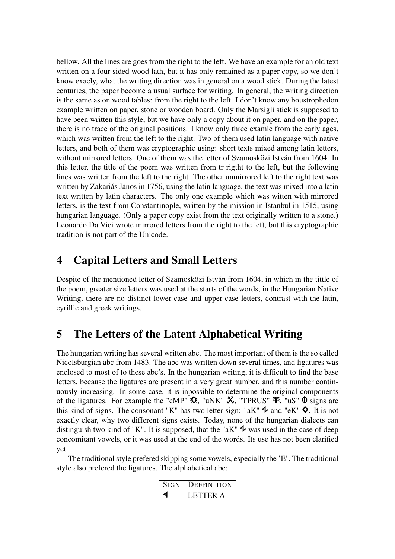bellow. All the lines are goes from the right to the left. We have an example for an old text written on a four sided wood lath, but it has only remained as a paper copy, so we don't know exacly, what the writing direction was in general on a wood stick. During the latest centuries, the paper become a usual surface for writing. In general, the writing direction is the same as on wood tables: from the right to the left. I don't know any boustrophedon example written on paper, stone or wooden board. Only the Marsigli stick is supposed to have been written this style, but we have only a copy about it on paper, and on the paper, there is no trace of the original positions. I know only three examle from the early ages, which was written from the left to the right. Two of them used latin language with native letters, and both of them was cryptographic using: short texts mixed among latin letters, without mirrored letters. One of them was the letter of Szamosközi István from 1604. In this letter, the title of the poem was written from tr rigtht to the left, but the following lines was written from the left to the right. The other unmirrored left to the right text was written by Zakariás János in 1756, using the latin language, the text was mixed into a latin text written by latin characters. The only one example which was witten with mirrored letters, is the text from Constantinople, written by the mission in Istanbul in 1515, using hungarian language. (Only a paper copy exist from the text originally written to a stone.) Leonardo Da Vici wrote mirrored letters from the right to the left, but this cryptographic tradition is not part of the Unicode.

### 4 Capital Letters and Small Letters

Despite of the mentioned letter of Szamosközi István from 1604, in which in the tittle of the poem, greater size letters was used at the starts of the words, in the Hungarian Native Writing, there are no distinct lower-case and upper-case letters, contrast with the latin, cyrillic and greek writings.

## 5 The Letters of the Latent Alphabetical Writing

The hungarian writing has several written abc. The most important of them is the so called Nicolsburgian abc from 1483. The abc was written down several times, and ligatures was enclosed to most of to these abc's. In the hungarian writing, it is difficult to find the base letters, because the ligatures are present in a very great number, and this number continuously increasing. In some case, it is inpossible to determine the original components of the ligatures. For example the "eMP"  $\hat{\mathbf{\mathcal{X}}}$ , "uNK"  $\hat{\mathbf{\mathcal{X}}}$ , "TPRUS"  $\hat{\mathbf{\mathcal{F}}}$ , "uS"  $\hat{\mathbf{\mathsf{O}}}$  signs are this kind of signs. The consonant "K" has two letter sign: "aK"  $\triangledown$  and "eK"  $\lozenge$ . It is not exactly clear, why two different signs exists. Today, none of the hungarian dialects can distinguish two kind of "K". It is supposed, that the "aK"  $\rightarrow \infty$  was used in the case of deep concomitant vowels, or it was used at the end of the words. Its use has not been clarified yet.

The traditional style prefered skipping some vowels, especially the 'E'. The traditional style also prefered the ligatures. The alphabetical abc:

| SIGN. | <b>DEFFINITION</b> |  |  |  |  |
|-------|--------------------|--|--|--|--|
|       | LETTER A           |  |  |  |  |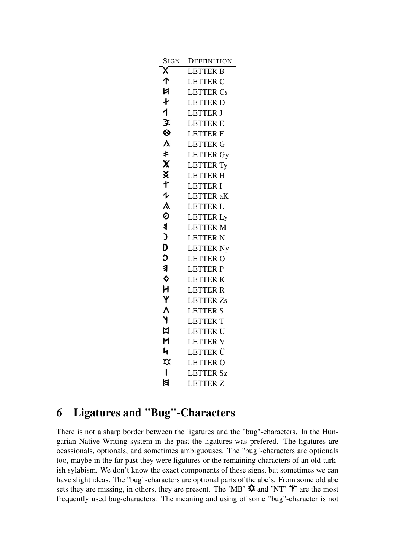| <b>SIGN</b>                    | DEFFINITION      |
|--------------------------------|------------------|
| Χ                              | <b>LETTER B</b>  |
| ↑                              | <b>LETTER C</b>  |
| И                              | <b>LETTER Cs</b> |
| ł                              | <b>LETTER D</b>  |
| 1                              | <b>LETTER J</b>  |
| 文                              | <b>LETTER E</b>  |
| ⊗                              | <b>LETTERF</b>   |
| $\lambda$                      | <b>LETTER G</b>  |
| ŧ                              | <b>LETTER Gy</b> |
| Χ                              | <b>LETTER Ty</b> |
| x                              | <b>LETTER H</b>  |
| 十                              | <b>LETTER I</b>  |
| $\boldsymbol{\psi}$            | <b>LETTER</b> aK |
| Λ                              | <b>LETTER L</b>  |
| 0                              | <b>LETTER Ly</b> |
| ≸                              | <b>LETTER M</b>  |
| Ć                              | <b>LETTER N</b>  |
| D                              | <b>LETTER Ny</b> |
| C                              | <b>LETTER O</b>  |
| $\overline{\mathbf{a}}$        | <b>LETTER P</b>  |
| ♦                              | <b>LETTER K</b>  |
| H                              | <b>LETTER R</b>  |
| Y                              | <b>LETTER Zs</b> |
| ٨                              | <b>LETTER S</b>  |
| ١                              | <b>LETTER T</b>  |
| N                              | LETTER U         |
| M                              | <b>LETTER V</b>  |
| 4                              | LETTER Ü         |
| $\boldsymbol{\mathsf{\alpha}}$ | LETTER Ö         |
| L                              | <b>LETTER Sz</b> |
| 目                              | <b>LETTER Z</b>  |

## 6 Ligatures and "Bug"-Characters

There is not a sharp border between the ligatures and the "bug"-characters. In the Hungarian Native Writing system in the past the ligatures was prefered. The ligatures are ocassionals, optionals, and sometimes ambiguouses. The "bug"-characters are optionals too, maybe in the far past they were ligatures or the remaining characters of an old turkish sylabism. We don't know the exact components of these signs, but sometimes we can have slight ideas. The "bug"-characters are optional parts of the abc's. From some old abc sets they are missing, in others, they are present. The 'MB'  $\hat{\mathbf{\Omega}}$  and 'NT'  $\hat{\mathbf{\Psi}}$  are the most frequently used bug-characters. The meaning and using of some "bug"-character is not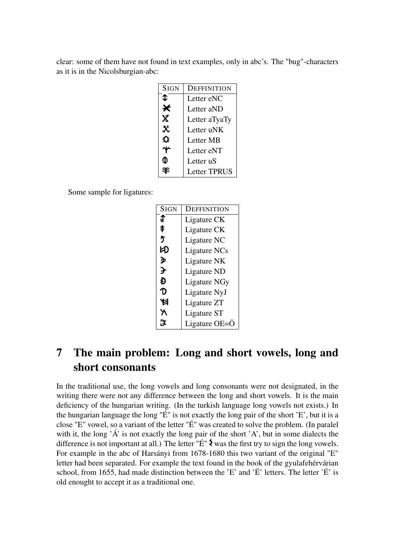clear: some of them have not found in text examples, only in abc's. The "bug"-characters as it is in the Nicolsburgian-abc:

| <b>SIGN</b>               | DEFFINITION         |
|---------------------------|---------------------|
| ↥                         | Letter eNC          |
| Ӿ                         | Letter aND          |
| $\boldsymbol{\mathsf{X}}$ | Letter aTyaTy       |
| $\mathbf{\hat{x}}$        | Letter uNK          |
| U                         | Letter MB           |
|                           | Letter eNT          |
|                           | Letter uS           |
|                           | <b>Letter TPRUS</b> |

Some sample for ligatures:

| <b>SIGN</b> | DEFFINITION         |
|-------------|---------------------|
| J           | Ligature CK         |
| \$          | Ligature CK         |
| 5           | Ligature NC         |
| K)          | Ligature NCs        |
| ቃ           | Ligature NK         |
| ≯           | Ligature ND         |
| Ð           | <b>Ligature NGy</b> |
| D           | Ligature NyJ        |
|             | Ligature ZT         |
|             | Ligature ST         |
|             | Ligature OE=Ö       |

## 7 The main problem: Long and short vowels, long and short consonants

In the traditional use, the long vowels and long consonants were not designated, in the writing there were not any difference between the long and short vowels. It is the main deficiency of the hungarian writing. (In the turkish language long vowels not exists.) In the hungarian language the long "É" is not exactly the long pair of the short 'E', but it is a close "E" vowel, so a variant of the letter "É" was created to solve the problem. (In paralel with it, the long  $\hat{A}$  is not exactly the long pair of the short  $A$ , but in some dialects the difference is not important at all.) The letter  $\mathbf{F}$   $\mathbf{\hat{E}}$  was the first try to sign the long vowels. For example in the abc of Harsányi from 1678-1680 this two variant of the original "E" letter had been separated. For example the text found in the book of the gyulafehérvárian school, from 1655, had made distinction between the 'E' and 'É' letters. The letter 'É' is old enought to accept it as a traditional one.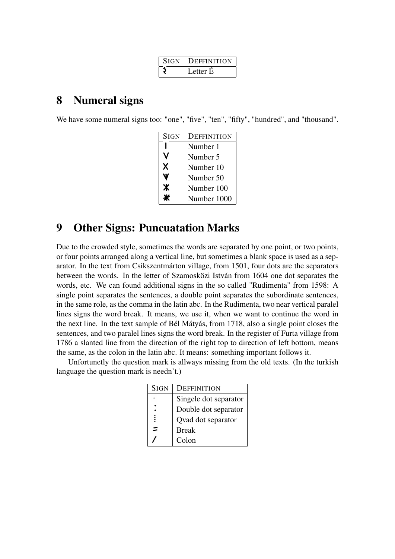| <b>SIGN</b> | <b>DEFFINITION</b> |
|-------------|--------------------|
|             | Letter E           |

## 8 Numeral signs

We have some numeral signs too: "one", "five", "ten", "fifty", "hundred", and "thousand".

| <b>SIGN</b> | DEFFINITION |
|-------------|-------------|
|             | Number 1    |
|             | Number 5    |
| X           | Number 10   |
|             | Number 50   |
| Ж           | Number 100  |
|             | Number 1000 |

### 9 Other Signs: Puncuatation Marks

Due to the crowded style, sometimes the words are separated by one point, or two points, or four points arranged along a vertical line, but sometimes a blank space is used as a separator. In the text from Csikszentmárton village, from 1501, four dots are the separators between the words. In the letter of Szamosközi István from 1604 one dot separates the words, etc. We can found additional signs in the so called "Rudimenta" from 1598: A single point separates the sentences, a double point separates the subordinate sentences, in the same role, as the comma in the latin abc. In the Rudimenta, two near vertical paralel lines signs the word break. It means, we use it, when we want to continue the word in the next line. In the text sample of Bél Mátyás, from 1718, also a single point closes the sentences, and two paralel lines signs the word break. In the register of Furta village from 1786 a slanted line from the direction of the right top to direction of left bottom, means the same, as the colon in the latin abc. It means: something important follows it.

Unfortunetly the question mark is allways missing from the old texts. (In the turkish language the question mark is needn't.)

| <b>SIGN</b> | DEFFINITION           |
|-------------|-----------------------|
|             | Singele dot separator |
|             | Double dot separator  |
| ፣           | Qvad dot separator    |
| =           | <b>Break</b>          |
|             | Colon                 |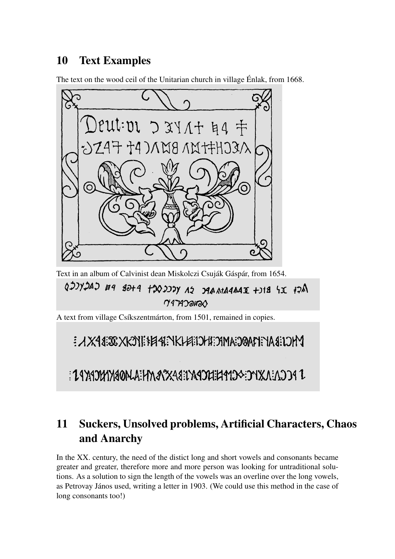## 10 Text Examples

The text on the wood ceil of the Unitarian church in village Énlak, from 1668.



Text in an album of Calvinist dean Miskolczi Csuják Gáspár, from 1654.

ADJYDAD E9 BARAMAR DA YCCCOCT PHGB PB CACYCCD  $Y$ 47A $Y$ ana $Y$ 

A text from village Csíkszentmárton, from 1501, remained in copies.

E AX48:38 XK3YI: HEAR. YKI FAEH FIFAX 32:32 FAX K.

JPCA:AXYC->CHILEFARCAS:CASAXASHAMASHAMASASAS

## 11 Suckers, Unsolved problems, Artificial Characters, Chaos and Anarchy

In the XX. century, the need of the distict long and short vowels and consonants became greater and greater, therefore more and more person was looking for untraditional solutions. As a solution to sign the length of the vowels was an overline over the long vowels, as Petrovay János used, writing a letter in 1903. (We could use this method in the case of long consonants too!)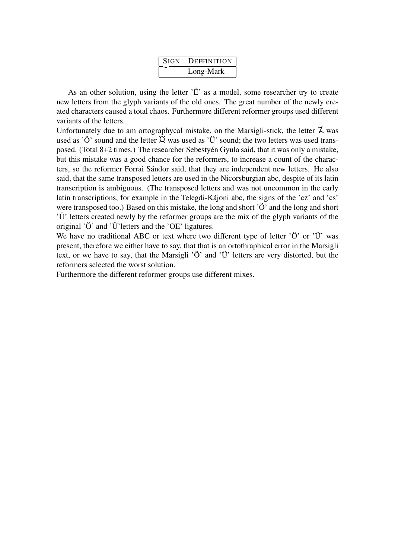| <b>SIGN</b> | DEFFINITION |
|-------------|-------------|
|             | Long-Mark   |

As an other solution, using the letter  $\check{E}$  as a model, some researcher try to create new letters from the glyph variants of the old ones. The great number of the newly created characters caused a total chaos. Furthermore different reformer groups used different variants of the letters.

Unfortunately due to am ortographycal mistake, on the Marsigli-stick, the letter  $\zeta$  was used as 'Ö' sound and the letter  $\varnothing$  was used as 'Ü' sound; the two letters was used transposed. (Total 8+2 times.) The researcher Sebestyén Gyula said, that it was only a mistake, but this mistake was a good chance for the reformers, to increase a count of the characters, so the reformer Forrai Sándor said, that they are independent new letters. He also said, that the same transposed letters are used in the Nicorsburgian abc, despite of its latin transcription is ambiguous. (The transposed letters and was not uncommon in the early latin transcriptions, for example in the Telegdi-Kájoni abc, the signs of the 'cz' and 'cs' were transposed too.) Based on this mistake, the long and short 'Ö' and the long and short 'Ü' letters created newly by the reformer groups are the mix of the glyph variants of the original 'Ö' and 'Ü'letters and the 'OE' ligatures.

We have no traditional ABC or text where two different type of letter ' $\ddot{O}$ ' or ' $\ddot{U}$ ' was present, therefore we either have to say, that that is an ortothraphical error in the Marsigli text, or we have to say, that the Marsigli 'Ö' and 'Ü' letters are very distorted, but the reformers selected the worst solution.

Furthermore the different reformer groups use different mixes.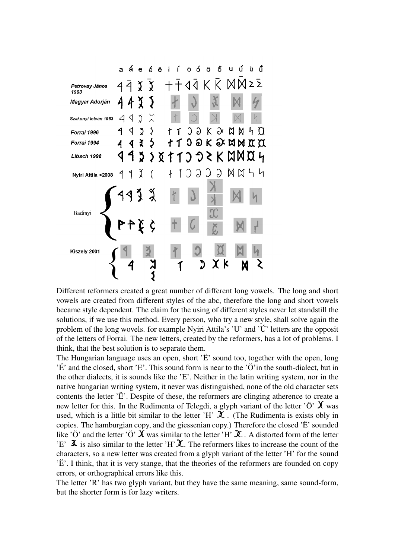

Different reformers created a great number of different long vowels. The long and short vowels are created from different styles of the abc, therefore the long and short vowels became style dependent. The claim for the using of different styles never let standstill the solutions, if we use this method. Every person, who try a new style, shall solve again the problem of the long wovels. for example Nyiri Attila's 'U' and 'Ú' letters are the opposit of the letters of Forrai. The new letters, created by the reformers, has a lot of problems. I think, that the best solution is to separate them.

The Hungarian language uses an open, short 'Ë' sound too, together with the open, long 'É' and the closed, short 'E'. This sound form is near to the 'Ö'in the south-dialect, but in the other dialects, it is sounds like the 'E'. Neither in the latin writing system, nor in the native hungarian writing system, it never was distinguished, none of the old character sets contents the letter 'Ë'. Despite of these, the reformers are clinging atherence to create a new letter for this. In the Rudimenta of Telegdi, a glyph variant of the letter  $\ddot{\mathrm{O}}$   $\chi$  was used, which is a little bit similar to the letter 'H'  $\mathcal{X}$ . (The Rudimenta is exists obly in copies. The hamburgian copy, and the giessenian copy.) Therefore the closed 'Ë' sounded like 'Ö' and the letter 'Ö'  $\chi$  was similar to the letter 'H'  $\chi$ . A distorted form of the letter 'E'  $\mathfrak{X}$  is also similar to the letter 'H'  $\mathfrak{X}$ . The reformers likes to increase the count of the characters, so a new letter was created from a glyph variant of the letter 'H' for the sound 'Ë'. I think, that it is very stange, that the theories of the reformers are founded on copy errors, or orthographical errors like this.

The letter 'R' has two glyph variant, but they have the same meaning, same sound-form, but the shorter form is for lazy writers.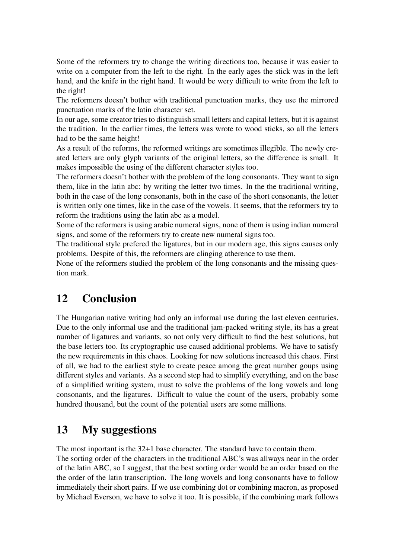Some of the reformers try to change the writing directions too, because it was easier to write on a computer from the left to the right. In the early ages the stick was in the left hand, and the knife in the right hand. It would be wery difficult to write from the left to the right!

The reformers doesn't bother with traditional punctuation marks, they use the mirrored punctuation marks of the latin character set.

In our age, some creator tries to distinguish small letters and capital letters, but it is against the tradition. In the earlier times, the letters was wrote to wood sticks, so all the letters had to be the same height!

As a result of the reforms, the reformed writings are sometimes illegible. The newly created letters are only glyph variants of the original letters, so the difference is small. It makes impossible the using of the different character styles too.

The reformers doesn't bother with the problem of the long consonants. They want to sign them, like in the latin abc: by writing the letter two times. In the the traditional writing, both in the case of the long consonants, both in the case of the short consonants, the letter is written only one times, like in the case of the vowels. It seems, that the reformers try to reform the traditions using the latin abc as a model.

Some of the reformers is using arabic numeral signs, none of them is using indian numeral signs, and some of the reformers try to create new numeral signs too.

The traditional style prefered the ligatures, but in our modern age, this signs causes only problems. Despite of this, the reformers are clinging atherence to use them.

None of the reformers studied the problem of the long consonants and the missing question mark.

## 12 Conclusion

The Hungarian native writing had only an informal use during the last eleven centuries. Due to the only informal use and the traditional jam-packed writing style, its has a great number of ligatures and variants, so not only very difficult to find the best solutions, but the base letters too. Its cryptographic use caused additional problems. We have to satisfy the new requirements in this chaos. Looking for new solutions increased this chaos. First of all, we had to the earliest style to create peace among the great number goups using different styles and variants. As a second step had to simplify everything, and on the base of a simplified writing system, must to solve the problems of the long vowels and long consonants, and the ligatures. Difficult to value the count of the users, probably some hundred thousand, but the count of the potential users are some millions.

## 13 My suggestions

The most inportant is the 32+1 base character. The standard have to contain them.

The sorting order of the characters in the traditional ABC's was allways near in the order of the latin ABC, so I suggest, that the best sorting order would be an order based on the the order of the latin transcription. The long wovels and long consonants have to follow immediately their short pairs. If we use combining dot or combining macron, as proposed by Michael Everson, we have to solve it too. It is possible, if the combining mark follows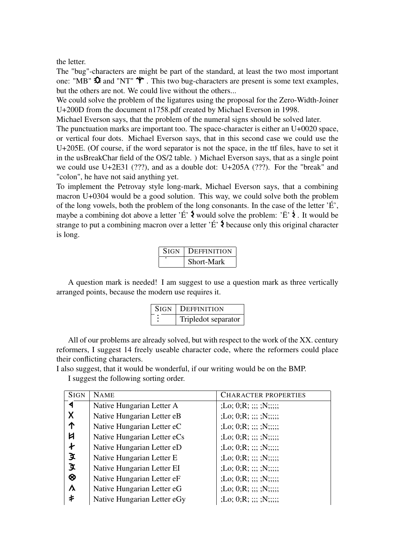the letter.

The "bug"-characters are might be part of the standard, at least the two most important one: "MB"  $\hat{\mathbf{\Omega}}$  and "NT"  $\hat{\mathbf{\Psi}}$ . This two bug-characters are present is some text examples, but the others are not. We could live without the others...

We could solve the problem of the ligatures using the proposal for the Zero-Width-Joiner U+200D from the document n1758.pdf created by Michael Everson in 1998.

Michael Everson says, that the problem of the numeral signs should be solved later.

The punctuation marks are important too. The space-character is either an U+0020 space, or vertical four dots. Michael Everson says, that in this second case we could use the U+205E. (Of course, if the word separator is not the space, in the ttf files, have to set it in the usBreakChar field of the OS/2 table. ) Michael Everson says, that as a single point we could use U+2E31 (???), and as a double dot: U+205A (???). For the "break" and "colon", he have not said anything yet.

To implement the Petrovay style long-mark, Michael Everson says, that a combining macron U+0304 would be a good solution. This way, we could solve both the problem of the long vowels, both the problem of the long consonants. In the case of the letter 'É', maybe a combining dot above a letter 'É'  $\lambda$  would solve the problem: 'Ë'  $\lambda$ . It would be strange to put a combining macron over a letter  $\hat{E}$   $\hat{\Sigma}$  because only this original character is long.

| <b>SIGN</b> | DEFFINITION |
|-------------|-------------|
|             | Short-Mark  |

A question mark is needed! I am suggest to use a question mark as three vertically arranged points, because the modern use requires it.

| <b>SIGN</b> | <b>DEFFINITION</b>  |
|-------------|---------------------|
|             | Tripledot separator |

All of our problems are already solved, but with respect to the work of the XX. century reformers, I suggest 14 freely useable character code, where the reformers could place their conflicting characters.

I also suggest, that it would be wonderful, if our writing would be on the BMP.

I suggest the following sorting order.

| <b>SIGN</b>          | <b>NAME</b>                 | <b>CHARACTER PROPERTIES</b> |
|----------------------|-----------------------------|-----------------------------|
| $\blacktriangleleft$ | Native Hungarian Letter A   | ;Lo; 0;R; ;;; ;N;;;;;       |
| X                    | Native Hungarian Letter eB  | ;Lo; 0;R; ;;;; ;N;;;;;;     |
| 个                    | Native Hungarian Letter eC  | ;Lo; 0;R; ;;;; ;N;;;;;;     |
| Ħ                    | Native Hungarian Letter eCs | : Lo; O;R; ::; :N; ::;      |
| $\pmb{\dagger}$      | Native Hungarian Letter eD  | ;Lo; 0;R; ;;;; ;N;;;;;;     |
| 文                    | Native Hungarian Letter E   | ;Lo; 0;R; ;;; ;N;;;;;       |
| 文                    | Native Hungarian Letter EI  | ;Lo; 0;R; ;;;; ;N;;;;;;     |
| $\otimes$            | Native Hungarian Letter eF  | ;Lo; 0;R; ;;;; ;N;;;;;;     |
| $\lambda$            | Native Hungarian Letter eG  | ;Lo; 0;R; ;;;; ;N;;;;;;     |
| 卡                    | Native Hungarian Letter eGy | ;Lo; 0;R; ;;;; ;N;;;;;;     |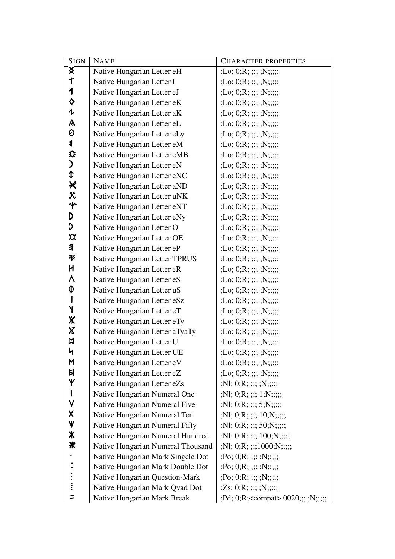| <b>SIGN</b>                    | <b>NAME</b>                           | <b>CHARACTER PROPERTIES</b>                          |  |  |
|--------------------------------|---------------------------------------|------------------------------------------------------|--|--|
| $\mathbf{\overline{X}}$        | Native Hungarian Letter eH            | ;Lo; 0;R; ;;; ;N;;;;;                                |  |  |
| $\mathsf t$                    | Native Hungarian Letter I             | ;Lo; 0;R; ;;; ;N;;;;;                                |  |  |
| 1                              | Native Hungarian Letter eJ            | ;Lo; 0;R; ;;; ;N;;;;;                                |  |  |
| $\Diamond$                     | Native Hungarian Letter eK            | ;Lo; 0;R; ;;; ;N;;;;;                                |  |  |
| $\mathbf 1$                    | Native Hungarian Letter aK            | ;Lo; 0;R; ;;; ;N;;;;;                                |  |  |
| $\lambda$                      | Native Hungarian Letter eL            | ;Lo; 0;R; ;;; ;N;;;;;                                |  |  |
| $\odot$                        | Native Hungarian Letter eLy           | ;Lo; 0;R; ;;; ;N;;;;;                                |  |  |
| $\blacktriangleleft$           | Native Hungarian Letter eM            | ;Lo; 0;R; ;;; ;N;;;;;                                |  |  |
| ⇕                              | Native Hungarian Letter eMB           | ;Lo; 0;R; ;;; ;N;;;;;                                |  |  |
| C                              | Native Hungarian Letter eN            | ;Lo; 0;R; ;;; ;N;;;;;                                |  |  |
| $\hat{L}$                      | Native Hungarian Letter eNC           | ;Lo; 0;R; ;;; ;N;;;;;                                |  |  |
| $\bigstar$                     | Native Hungarian Letter aND           | ;Lo; 0;R; ;;; ;N;;;;;                                |  |  |
| $\mathbf{\ddot{x}}$            | Native Hungarian Letter uNK           | ;Lo; 0;R; ;;; ;N;;;;;                                |  |  |
| $\mathbf{\hat{r}}$             | Native Hungarian Letter eNT           | ;Lo; 0;R; ;;; ;N;;;;;                                |  |  |
| D                              | Native Hungarian Letter eNy           | ;Lo; 0;R; ;;; ;N;;;;;                                |  |  |
| C                              | Native Hungarian Letter O             | ;Lo; 0;R; ;;; ;N;;;;;                                |  |  |
| $\boldsymbol{\mathsf{\alpha}}$ | Native Hungarian Letter OE            | ;Lo; 0;R; ;;; ;N;;;;;                                |  |  |
| $\overline{\mathbf{a}}$        | Native Hungarian Letter eP            | ;Lo; 0;R; ;;; ;N;;;;;                                |  |  |
| 爷                              | Native Hungarian Letter TPRUS         | ;Lo; 0;R; ;;; ;N;;;;;                                |  |  |
| H                              | Native Hungarian Letter eR            | ;Lo; 0;R; ;;; ;N;;;;;                                |  |  |
| ٨                              | Native Hungarian Letter eS            | ;Lo; 0;R; ;;; ;N;;;;;                                |  |  |
| 0                              | Native Hungarian Letter uS            | ;Lo; 0;R; ;;; ;N;;;;;                                |  |  |
| $\mathsf{l}$                   | Native Hungarian Letter eSz           | ;Lo; 0;R; ;;; ;N;;;;;                                |  |  |
| Y                              | Native Hungarian Letter eT            | ;Lo; 0;R; ;;; ;N;;;;;                                |  |  |
| $\boldsymbol{\mathsf{X}}$      | Native Hungarian Letter eTy           | ;Lo; 0;R; ;;; ;N;;;;;                                |  |  |
| $\boldsymbol{\mathsf{X}}$      | Native Hungarian Letter aTyaTy        | ;Lo; 0;R; ;;; ;N;;;;;                                |  |  |
| $\boxtimes$                    | Native Hungarian Letter U             | ;Lo; 0;R; ;;; ;N;;;;;                                |  |  |
| 4                              | Native Hungarian Letter UE            | ;Lo; 0;R; ;;; ;N;;;;;                                |  |  |
| M                              | Native Hungarian Letter eV            | ;Lo; 0;R; ;;; ;N;;;;;;                               |  |  |
| Ħ                              | Native Hungarian Letter eZ            | ;Lo; 0;R; ;;; ;N;;;;;                                |  |  |
| Y                              | Native Hungarian Letter eZs           | $;N1;0;R;$ $;$ $;$ $;$ $;$ $;$ $N;$ $;$ $;$          |  |  |
| $\mathsf{l}$<br>$\checkmark$   | Native Hungarian Numeral One          | ;Nl; 0;R; ;;; 1;N;;;;;                               |  |  |
| $\boldsymbol{\mathsf{X}}$      | Native Hungarian Numeral Five         | $;N1;0;R;$ $;$ $;$ $;$ $5;N;$ $;$ $;$                |  |  |
| $\mathbf \Psi$                 | Native Hungarian Numeral Ten          | $;N1; 0;R;$ $;$ $;$ $;$ $;$ $10;N;$ $;$ $;$ $;$      |  |  |
| $\boldsymbol{\ast}$            | Native Hungarian Numeral Fifty        | $;N1;0;R;$ ;;; 50;N;;;;;                             |  |  |
| ₩                              | Native Hungarian Numeral Hundred      | $;N1; 0;R;$ $;$ $;$ $;$ $100;N;$ $;$ $;$ $;$         |  |  |
|                                | Native Hungarian Numeral Thousand     | $;N1;0;R;$ ;;:1000;N;;;;;;                           |  |  |
|                                | Native Hungarian Mark Singele Dot     | $; PO; 0; R; ; ; ; ; ; N; ; ; ;$                     |  |  |
|                                | Native Hungarian Mark Double Dot      | $;Po; 0;R;$ ;;;;;;,;;;;;                             |  |  |
|                                | <b>Native Hungarian Question-Mark</b> | $;Po; 0;R;$ $;$ $;$ $;$ $;$ $;$ $;$ $N;$ $;$ $;$ $;$ |  |  |
| Ξ                              | Native Hungarian Mark Qvad Dot        | $(Zs; 0;R; \dots; N; \dots;$                         |  |  |
|                                | Native Hungarian Mark Break           | ;Pd; 0;R; <compat> 0020;;; ;N;;;;;</compat>          |  |  |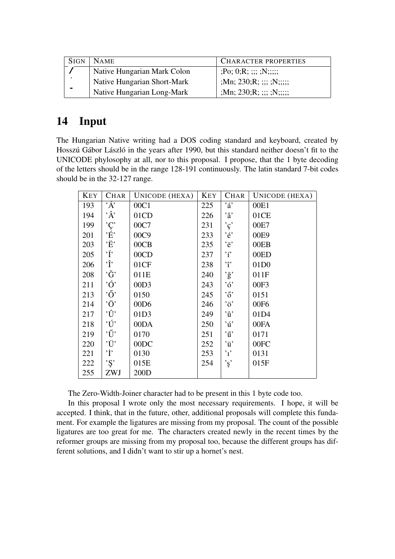| <b>SIGN</b> | <b>NAME</b>                 | <b>CHARACTER PROPERTIES</b>     |
|-------------|-----------------------------|---------------------------------|
|             | Native Hungarian Mark Colon | $; Po; 0; R; \dots; SN; \dots;$ |
| $\bullet$   | Native Hungarian Short-Mark | ;Mn; 230;R; ;;; ;N;;;;;;        |
| $\bullet$   | Native Hungarian Long-Mark  | ;Mn; 230;R; ;;; ;N;;;;;;        |

## 14 Input

The Hungarian Native writing had a DOS coding standard and keyboard, created by Hosszú Gábor László in the years after 1990, but this standard neither doesn't fit to the UNICODE phylosophy at all, nor to this proposal. I propose, that the 1 byte decoding of the letters should be in the range 128-191 continuously. The latin standard 7-bit codes should be in the 32-127 range.

| <b>KEY</b> | <b>CHAR</b>           | UNICODE (HEXA)   | <b>KEY</b> | <b>CHAR</b>                  | UNICODE (HEXA)   |
|------------|-----------------------|------------------|------------|------------------------------|------------------|
| 193        | $\Delta$ <sup>.</sup> | 00C1             | 225        | $\cdot$ á'                   | 00E1             |
| 194        | $\hat{A}$             | 01CD             | 226        | $, \hat{a}$                  | 01CE             |
| 199        | 'Ç'<br>É'             | 00C7             | 231        | $\cdot_{\varsigma}\cdot$     | 00E7             |
| 201        |                       | 00C9             | 233        | $, \epsilon$                 | 00E9             |
| 203        | 'Ë'                   | 00CB             | 235        | 'ë'                          | 00EB             |
| 205        | $\cdot$ ŕ $\cdot$     | 00CD             | 237        | $\cdot_i$                    | 00ED             |
| 206        | ۰ĵ,                   | 01CF             | 238        | $\cdot_{\hat{1}}$            | 01D <sub>0</sub> |
| 208        | $\cdot \breve{G}$     | 011E             | 240        | $\cdot$ ğ'                   | 011F             |
| 211        | $\dot{O}$             | 00D3             | 243        | ,6                           | 00F3             |
| 213        | $\cdot \tilde{O}$     | 0150             | 245        | $\cdot$ ő'                   | 0151             |
| 214        | 'Ö'                   | 00D <sub>6</sub> | 246        | $\cdot$ ö'                   | 00F6             |
| 217        | $\dot{U}$             | 01D3             | 249        | $\dot{u}$                    | 01D4             |
| 218        | 'Ú'                   | 00DA             | 250        | $\dot{u}$                    | 00FA             |
| 219        | $\cdot \tilde{U}$     | 0170             | 251        | $\dot{u}$                    | 0171             |
| 220        | 'Ü'                   | 00DC             | 252        | $\dot{u}$                    | 00FC             |
| 221        | 'İ'                   | 0130             | 253        | , 1, 2                       | 0131             |
| 222        | $\cdot$ S'            | 015E             | 254        | $\cdot$ <sub>ş</sub> $\cdot$ | 015F             |
| 255        | ZWJ                   | 200D             |            |                              |                  |

The Zero-Width-Joiner character had to be present in this 1 byte code too.

In this proposal I wrote only the most necessary requirements. I hope, it will be accepted. I think, that in the future, other, additional proposals will complete this fundament. For example the ligatures are missing from my proposal. The count of the possible ligatures are too great for me. The characters created newly in the recent times by the reformer groups are missing from my proposal too, because the different groups has different solutions, and I didn't want to stir up a hornet's nest.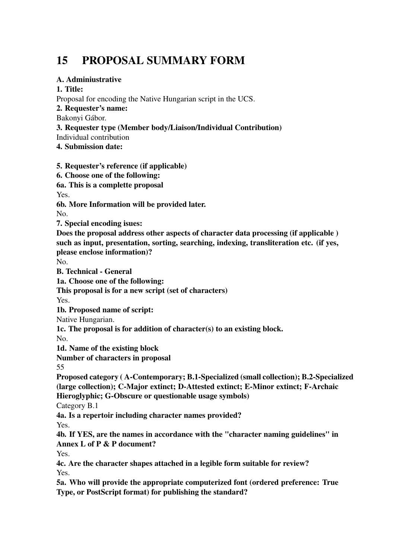## 15 PROPOSAL SUMMARY FORM

#### A. Adminiustrative

#### 1. Title:

Proposal for encoding the Native Hungarian script in the UCS.

2. Requester's name:

Bakonyi Gábor.

3. Requester type (Member body/Liaison/Individual Contribution)

Individual contribution

4. Submission date:

5. Requester's reference (if applicable)

6. Choose one of the following:

6a. This is a complette proposal

Yes.

6b. More Information will be provided later.

No.

7. Special encoding isues:

Does the proposal address other aspects of character data processing (if applicable ) such as input, presentation, sorting, searching, indexing, transliteration etc. (if yes, please enclose information)?

No.

B. Technical - General

1a. Choose one of the following:

This proposal is for a new script (set of characters)

Yes.

1b. Proposed name of script:

Native Hungarian.

1c. The proposal is for addition of character(s) to an existing block.

No.

1d. Name of the existing block

Number of characters in proposal

55

Proposed category ( A-Contemporary; B.1-Specialized (small collection); B.2-Specialized (large collection); C-Major extinct; D-Attested extinct; E-Minor extinct; F-Archaic Hieroglyphic; G-Obscure or questionable usage symbols)

Category B.1

4a. Is a repertoir including character names provided?

Yes.

4b. If YES, are the names in accordance with the "character naming guidelines" in Annex L of P & P document?

Yes.

4c. Are the character shapes attached in a legible form suitable for review? Yes.

5a. Who will provide the appropriate computerized font (ordered preference: True Type, or PostScript format) for publishing the standard?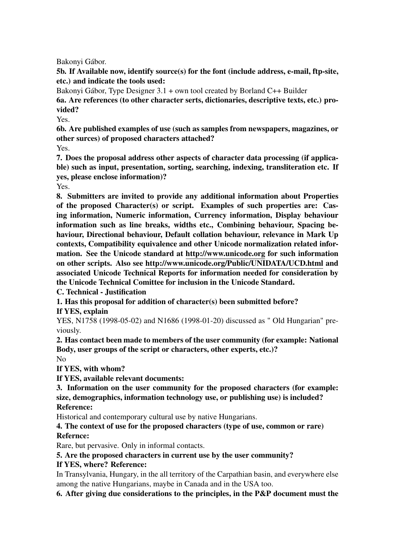Bakonyi Gábor.

5b. If Available now, identify source(s) for the font (include address, e-mail, ftp-site, etc.) and indicate the tools used:

Bakonyi Gábor, Type Designer 3.1 + own tool created by Borland C++ Builder

6a. Are references (to other character serts, dictionaries, descriptive texts, etc.) provided?

Yes.

6b. Are published examples of use (such as samples from newspapers, magazines, or other surces) of proposed characters attached?

Yes.

7. Does the proposal address other aspects of character data processing (if applicable) such as input, presentation, sorting, searching, indexing, transliteration etc. If yes, please enclose information)?

Yes.

8. Submitters are invited to provide any additional information about Properties of the proposed Character(s) or script. Examples of such properties are: Casing information, Numeric information, Currency information, Display behaviour information such as line breaks, widths etc., Combining behaviour, Spacing behaviour, Directional behaviour, Default collation behaviour, relevance in Mark Up contexts, Compatibility equivalence and other Unicode normalization related information. See the Unicode standard at http://www.unicode.org for such information on other scripts. Also see http://www.unicode.org/Public/UNIDATA/UCD.html and associated Unicode Technical Reports for information needed for consideration by the Unicode Technical Comittee for inclusion in the Unicode Standard.

C. Technical - Justification

1. Has this proposal for addition of character(s) been submitted before?

If YES, explain

YES, N1758 (1998-05-02) and N1686 (1998-01-20) discussed as " Old Hungarian" previously.

2. Has contact been made to members of the user community (for example: National Body, user groups of the script or characters, other experts, etc.)?

No If YES, with whom?

If YES, available relevant documents:

3. Information on the user community for the proposed characters (for example: size, demographics, information technology use, or publishing use) is included? Reference:

Historical and contemporary cultural use by native Hungarians.

4. The context of use for the proposed characters (type of use, common or rare) Refernce:

Rare, but pervasive. Only in informal contacts.

5. Are the proposed characters in current use by the user community?

#### If YES, where? Reference:

In Transylvania, Hungary, in the all territory of the Carpathian basin, and everywhere else among the native Hungarians, maybe in Canada and in the USA too.

6. After giving due considerations to the principles, in the P&P document must the